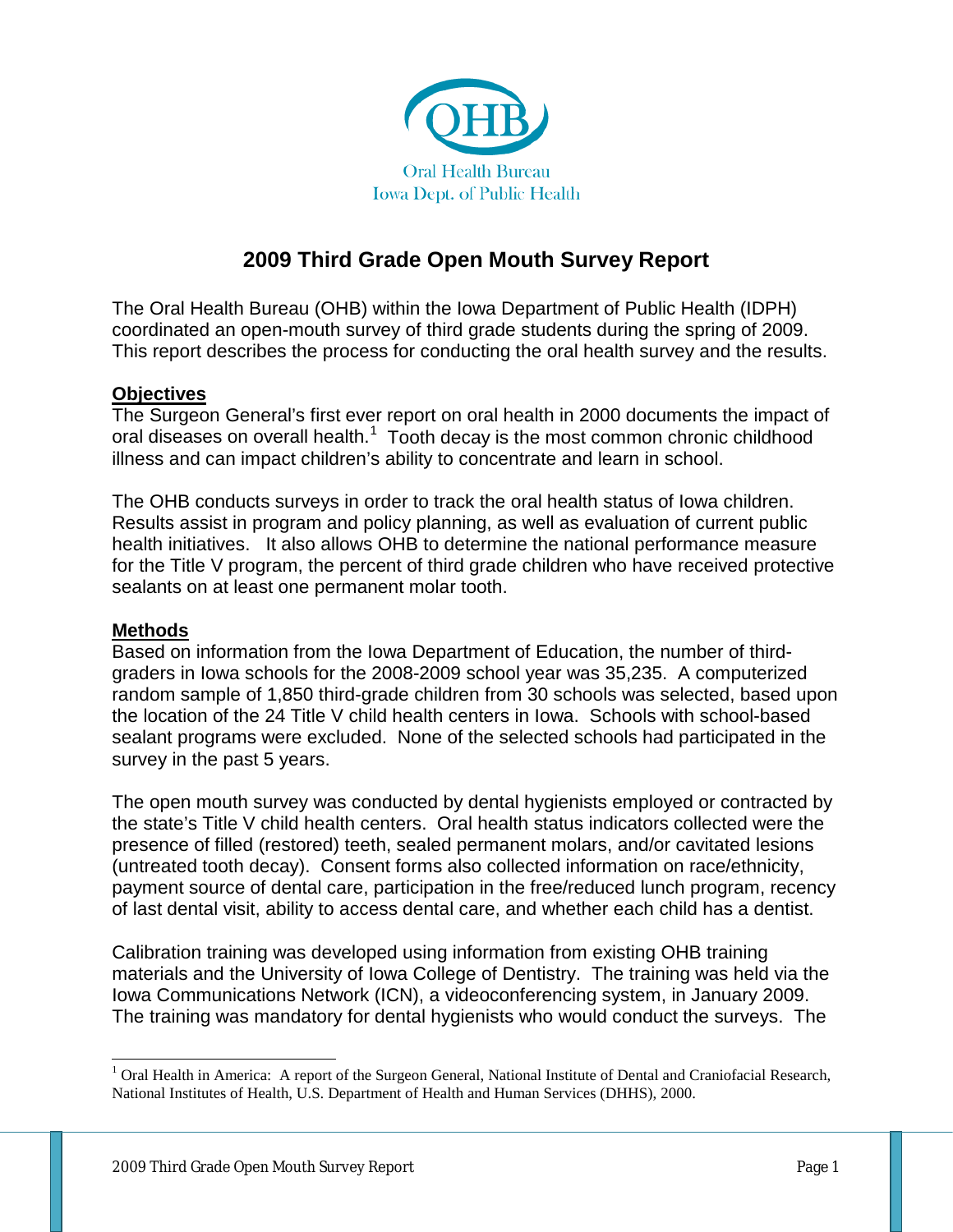

# **2009 Third Grade Open Mouth Survey Report**

The Oral Health Bureau (OHB) within the Iowa Department of Public Health (IDPH) coordinated an open-mouth survey of third grade students during the spring of 2009. This report describes the process for conducting the oral health survey and the results.

### **Objectives**

The Surgeon General's first ever report on oral health in 2000 documents the impact of oral diseases on overall health.<sup>[1](#page-0-0)</sup> Tooth decay is the most common chronic childhood illness and can impact children's ability to concentrate and learn in school.

The OHB conducts surveys in order to track the oral health status of Iowa children. Results assist in program and policy planning, as well as evaluation of current public health initiatives. It also allows OHB to determine the national performance measure for the Title V program, the percent of third grade children who have received protective sealants on at least one permanent molar tooth.

### **Methods**

Based on information from the Iowa Department of Education, the number of thirdgraders in Iowa schools for the 2008-2009 school year was 35,235. A computerized random sample of 1,850 third-grade children from 30 schools was selected, based upon the location of the 24 Title V child health centers in Iowa. Schools with school-based sealant programs were excluded.None of the selected schools had participated in the survey in the past 5 years.

The open mouth survey was conducted by dental hygienists employed or contracted by the state's Title V child health centers. Oral health status indicators collected were the presence of filled (restored) teeth, sealed permanent molars, and/or cavitated lesions (untreated tooth decay). Consent forms also collected information on race/ethnicity, payment source of dental care, participation in the free/reduced lunch program, recency of last dental visit, ability to access dental care, and whether each child has a dentist.

Calibration training was developed using information from existing OHB training materials and the University of Iowa College of Dentistry. The training was held via the Iowa Communications Network (ICN), a videoconferencing system, in January 2009. The training was mandatory for dental hygienists who would conduct the surveys. The

<span id="page-0-0"></span><sup>&</sup>lt;sup>1</sup> Oral Health in America: A report of the Surgeon General, National Institute of Dental and Craniofacial Research, National Institutes of Health, U.S. Department of Health and Human Services (DHHS), 2000.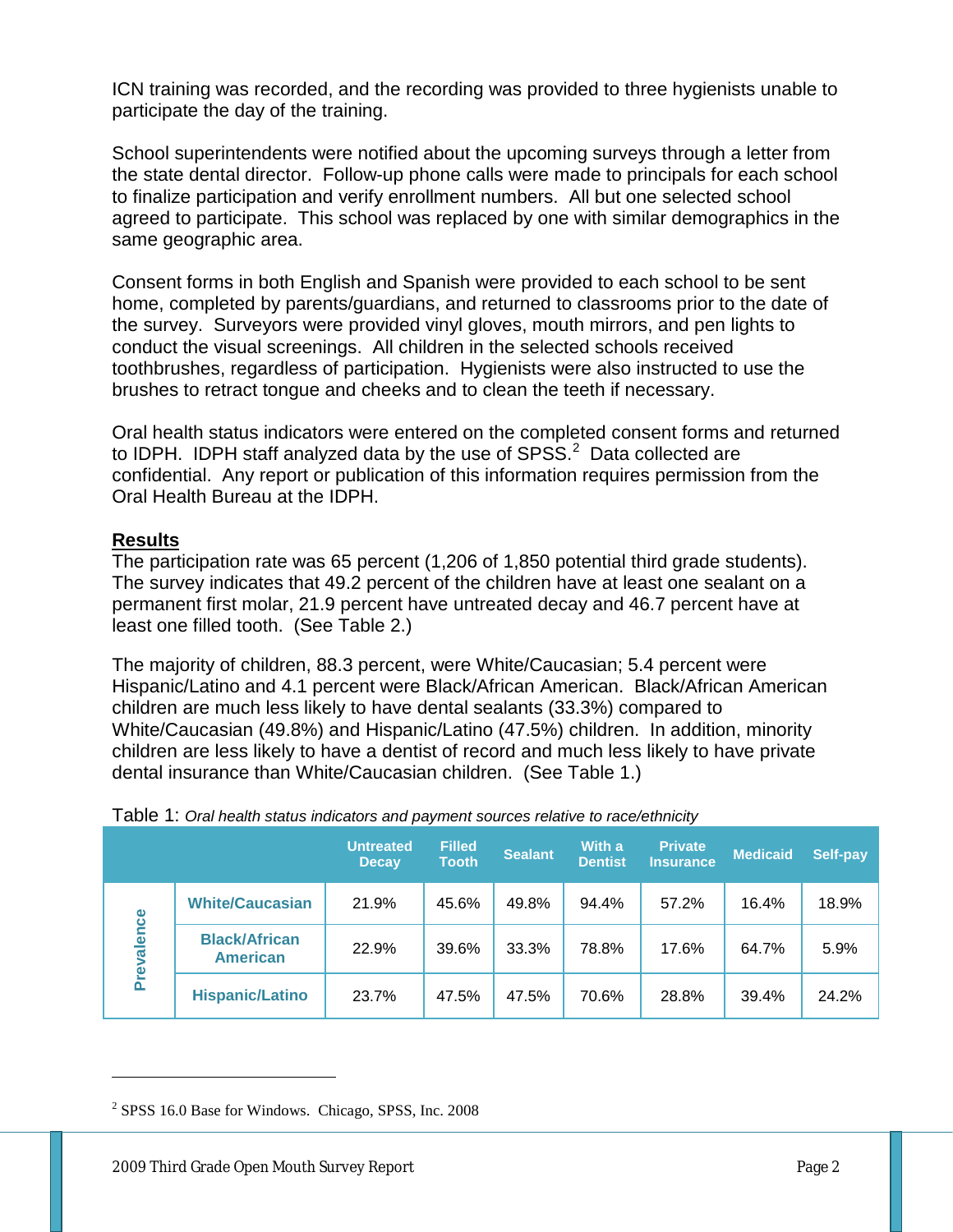ICN training was recorded, and the recording was provided to three hygienists unable to participate the day of the training.

School superintendents were notified about the upcoming surveys through a letter from the state dental director. Follow-up phone calls were made to principals for each school to finalize participation and verify enrollment numbers. All but one selected school agreed to participate. This school was replaced by one with similar demographics in the same geographic area.

Consent forms in both English and Spanish were provided to each school to be sent home, completed by parents/guardians, and returned to classrooms prior to the date of the survey. Surveyors were provided vinyl gloves, mouth mirrors, and pen lights to conduct the visual screenings. All children in the selected schools received toothbrushes, regardless of participation. Hygienists were also instructed to use the brushes to retract tongue and cheeks and to clean the teeth if necessary.

Oral health status indicators were entered on the completed consent forms and returned to IDPH. IDPH staff analyzed data by the use of  $SPSS.<sup>2</sup>$  $SPSS.<sup>2</sup>$  $SPSS.<sup>2</sup>$  Data collected are confidential. Any report or publication of this information requires permission from the Oral Health Bureau at the IDPH.

# **Results**

 $\overline{a}$ 

The participation rate was 65 percent (1,206 of 1,850 potential third grade students). The survey indicates that 49.2 percent of the children have at least one sealant on a permanent first molar, 21.9 percent have untreated decay and 46.7 percent have at least one filled tooth. (See Table 2.)

The majority of children, 88.3 percent, were White/Caucasian; 5.4 percent were Hispanic/Latino and 4.1 percent were Black/African American. Black/African American children are much less likely to have dental sealants (33.3%) compared to White/Caucasian (49.8%) and Hispanic/Latino (47.5%) children. In addition, minority children are less likely to have a dentist of record and much less likely to have private dental insurance than White/Caucasian children. (See Table 1.)

|                 |                                         | <b>Untreated</b><br><b>Decay</b> | <b>Filled</b><br><b>Tooth</b> | <b>Sealant</b> | With a<br><b>Dentist</b> | <b>Private</b><br>Insurance | <b>Medicaid</b> | <b>Self-pay</b> |
|-----------------|-----------------------------------------|----------------------------------|-------------------------------|----------------|--------------------------|-----------------------------|-----------------|-----------------|
| lence<br>Preval | <b>White/Caucasian</b>                  | 21.9%                            | 45.6%                         | 49.8%          | 94.4%                    | 57.2%                       | 16.4%           | 18.9%           |
|                 | <b>Black/African</b><br><b>American</b> | 22.9%                            | 39.6%                         | 33.3%          | 78.8%                    | 17.6%                       | 64.7%           | 5.9%            |
|                 | <b>Hispanic/Latino</b>                  | 23.7%                            | 47.5%                         | 47.5%          | 70.6%                    | 28.8%                       | 39.4%           | 24.2%           |

| Table 1: Oral health status indicators and payment sources relative to race/ethnicity |  |
|---------------------------------------------------------------------------------------|--|
|---------------------------------------------------------------------------------------|--|

<span id="page-1-0"></span><sup>2</sup> SPSS 16.0 Base for Windows. Chicago, SPSS, Inc. 2008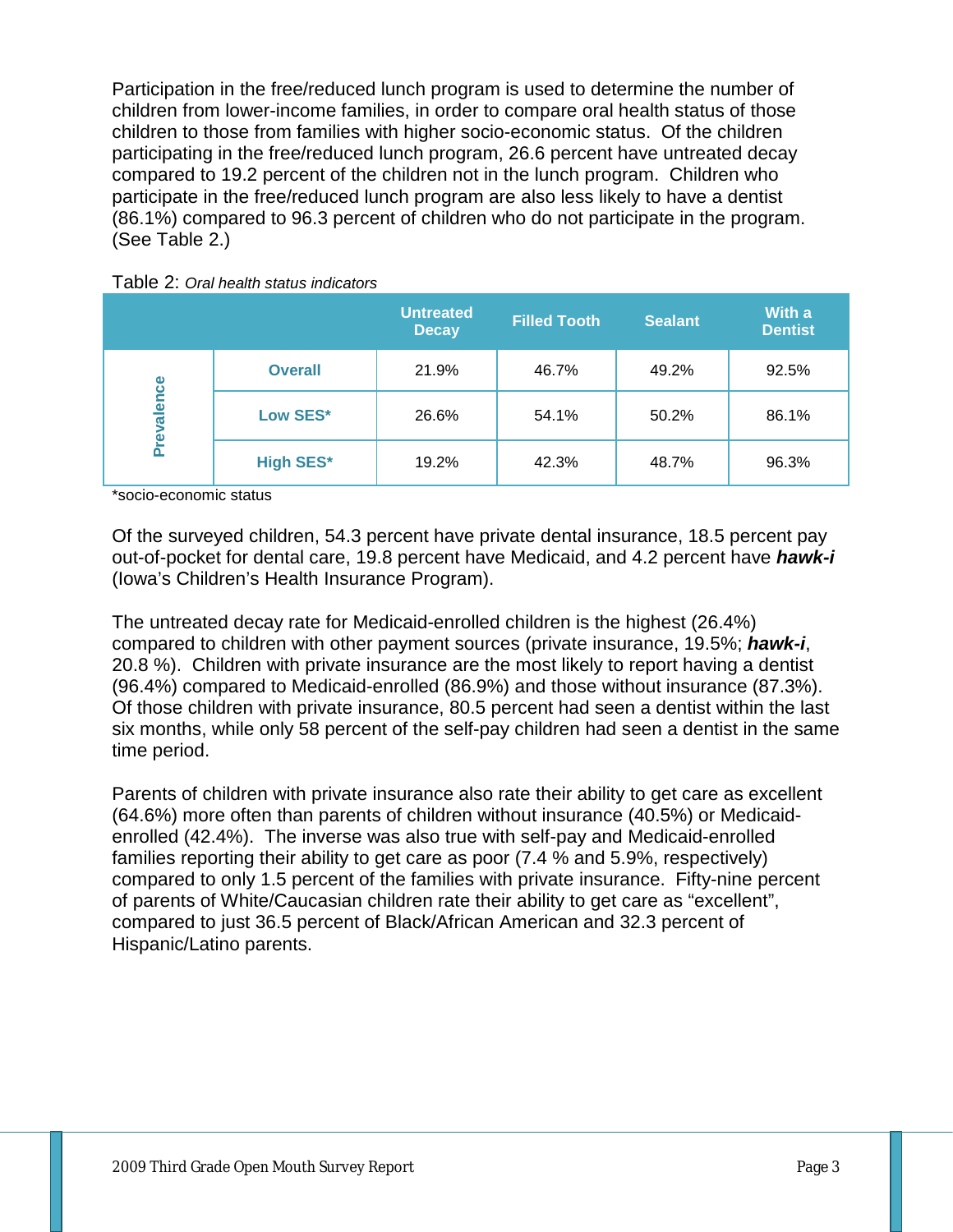Participation in the free/reduced lunch program is used to determine the number of children from lower-income families, in order to compare oral health status of those children to those from families with higher socio-economic status. Of the children participating in the free/reduced lunch program, 26.6 percent have untreated decay compared to 19.2 percent of the children not in the lunch program. Children who participate in the free/reduced lunch program are also less likely to have a dentist (86.1%) compared to 96.3 percent of children who do not participate in the program. (See Table 2.)



|                 |                  | <b>Untreated</b><br><b>Decay</b> | <b>Filled Tooth</b> | <b>Sealant</b> | With a<br><b>Dentist</b> |
|-----------------|------------------|----------------------------------|---------------------|----------------|--------------------------|
|                 | <b>Overall</b>   | 21.9%                            | 46.7%               | 49.2%          | 92.5%                    |
| lence<br>Preval | Low SES*         | 26.6%                            | 54.1%               | 50.2%          | 86.1%                    |
|                 | <b>High SES*</b> | 19.2%                            | 42.3%               | 48.7%          | 96.3%                    |

\*socio-economic status

Of the surveyed children, 54.3 percent have private dental insurance, 18.5 percent pay out-of-pocket for dental care, 19.8 percent have Medicaid, and 4.2 percent have *hawk-i*  (Iowa's Children's Health Insurance Program).

The untreated decay rate for Medicaid-enrolled children is the highest (26.4%) compared to children with other payment sources (private insurance, 19.5%; *hawk-i*, 20.8 %). Children with private insurance are the most likely to report having a dentist (96.4%) compared to Medicaid-enrolled (86.9%) and those without insurance (87.3%). Of those children with private insurance, 80.5 percent had seen a dentist within the last six months, while only 58 percent of the self-pay children had seen a dentist in the same time period.

Parents of children with private insurance also rate their ability to get care as excellent (64.6%) more often than parents of children without insurance (40.5%) or Medicaidenrolled (42.4%). The inverse was also true with self-pay and Medicaid-enrolled families reporting their ability to get care as poor (7.4 % and 5.9%, respectively) compared to only 1.5 percent of the families with private insurance. Fifty-nine percent of parents of White/Caucasian children rate their ability to get care as "excellent", compared to just 36.5 percent of Black/African American and 32.3 percent of Hispanic/Latino parents.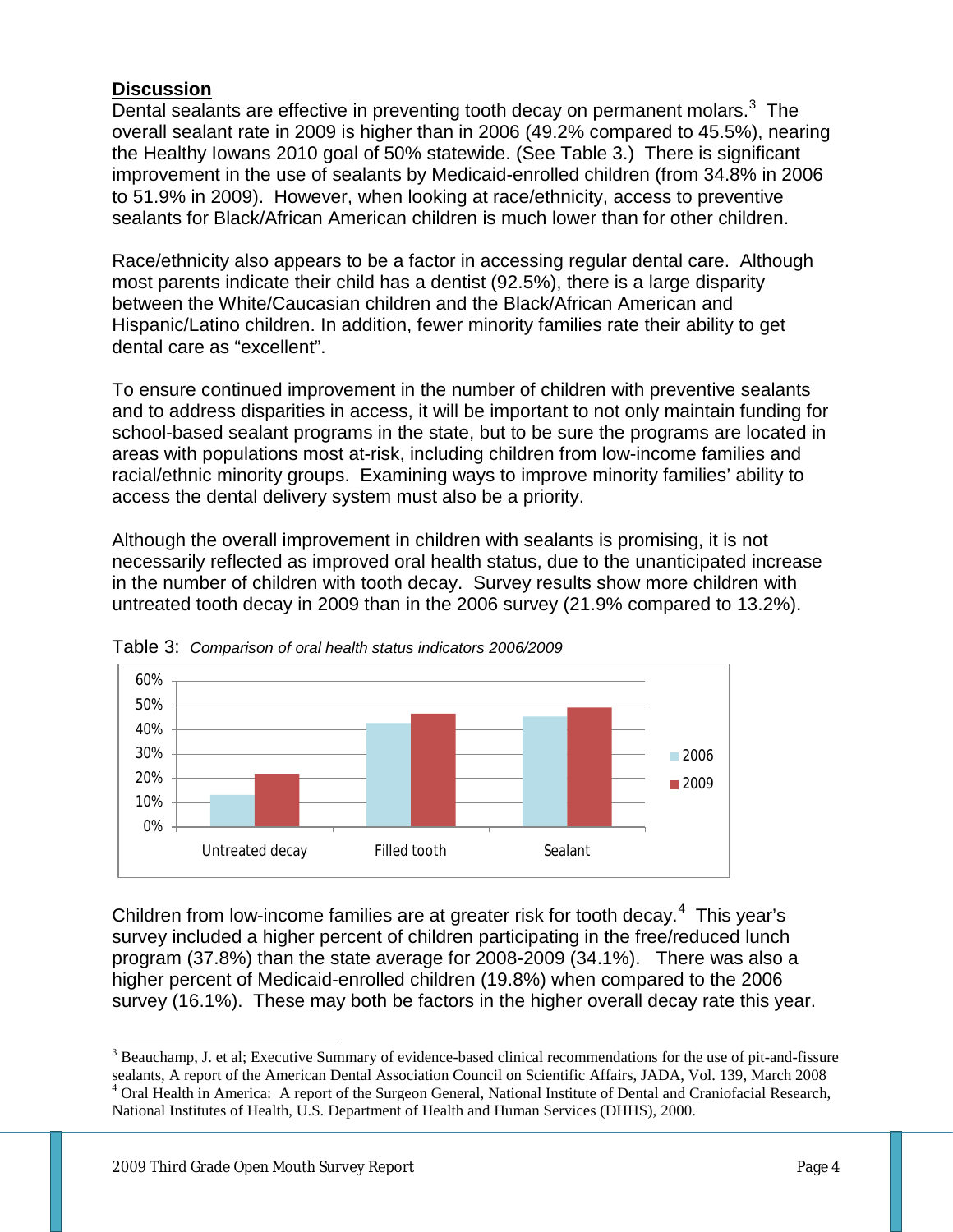# **Discussion**

Dental sealants are effective in preventing tooth decay on permanent molars.<sup>[3](#page-3-0)</sup> The overall sealant rate in 2009 is higher than in 2006 (49.2% compared to 45.5%), nearing the Healthy Iowans 2010 goal of 50% statewide. (See Table 3.) There is significant improvement in the use of sealants by Medicaid-enrolled children (from 34.8% in 2006 to 51.9% in 2009). However, when looking at race/ethnicity, access to preventive sealants for Black/African American children is much lower than for other children.

Race/ethnicity also appears to be a factor in accessing regular dental care. Although most parents indicate their child has a dentist (92.5%), there is a large disparity between the White/Caucasian children and the Black/African American and Hispanic/Latino children. In addition, fewer minority families rate their ability to get dental care as "excellent".

To ensure continued improvement in the number of children with preventive sealants and to address disparities in access, it will be important to not only maintain funding for school-based sealant programs in the state, but to be sure the programs are located in areas with populations most at-risk, including children from low-income families and racial/ethnic minority groups. Examining ways to improve minority families' ability to access the dental delivery system must also be a priority.

Although the overall improvement in children with sealants is promising, it is not necessarily reflected as improved oral health status, due to the unanticipated increase in the number of children with tooth decay. Survey results show more children with untreated tooth decay in 2009 than in the 2006 survey (21.9% compared to 13.2%).





Children from low-income families are at greater risk for tooth decay. $4$  This year's survey included a higher percent of children participating in the free/reduced lunch program (37.8%) than the state average for 2008-2009 (34.1%). There was also a higher percent of Medicaid-enrolled children (19.8%) when compared to the 2006 survey (16.1%). These may both be factors in the higher overall decay rate this year.

<span id="page-3-1"></span><span id="page-3-0"></span><sup>&</sup>lt;sup>3</sup> Beauchamp, J. et al; Executive Summary of evidence-based clinical recommendations for the use of pit-and-fissure sealants, A report of the American Dental Association Council on Scientific Affairs, JADA, Vol. 139, March 2008 <sup>4</sup> Oral Health in America: A report of the Surgeon General, National Institute of Dental and Craniofacial Research, National Institutes of Health, U.S. Department of Health and Human Services (DHHS), 2000.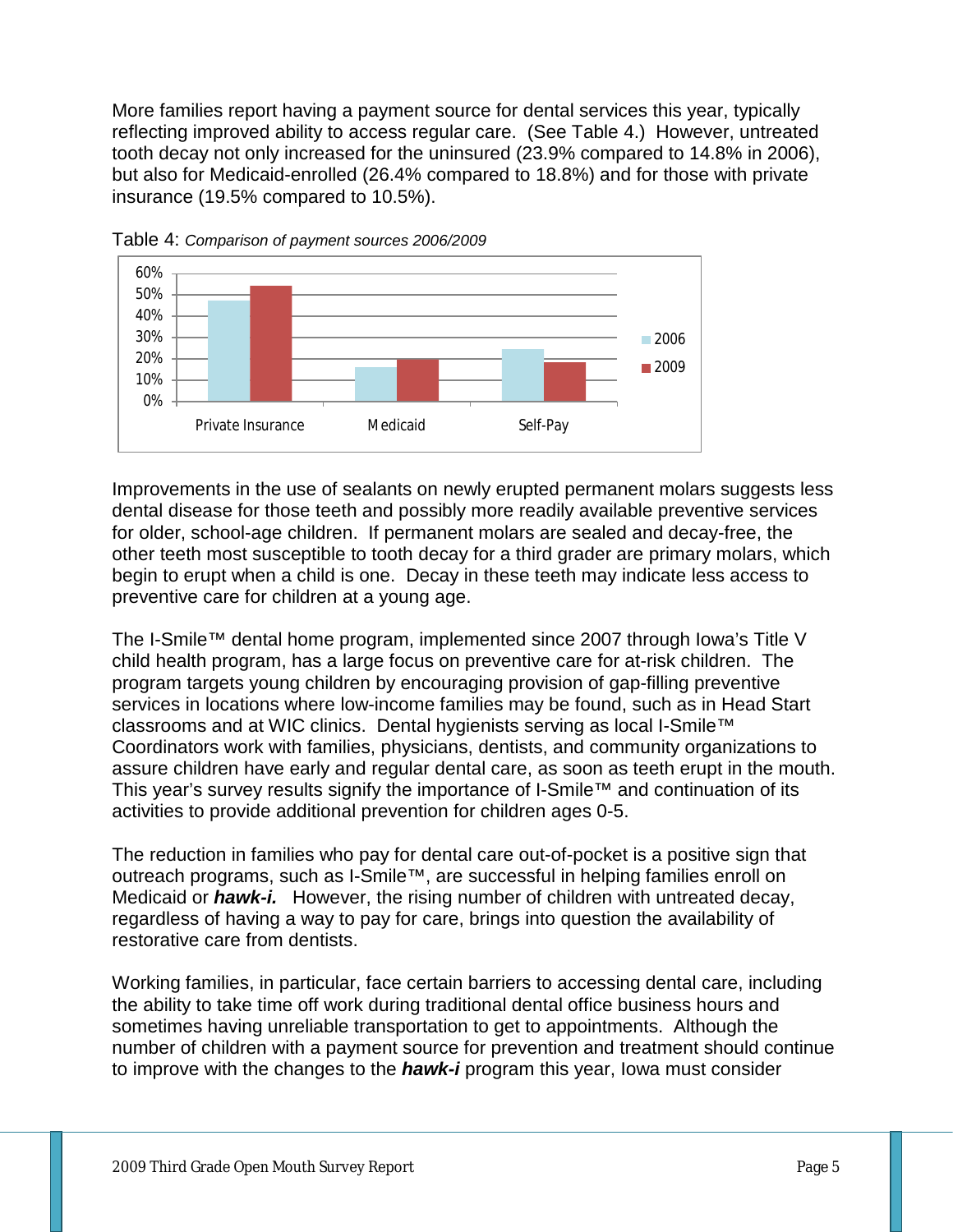More families report having a payment source for dental services this year, typically reflecting improved ability to access regular care. (See Table 4.) However, untreated tooth decay not only increased for the uninsured (23.9% compared to 14.8% in 2006), but also for Medicaid-enrolled (26.4% compared to 18.8%) and for those with private insurance (19.5% compared to 10.5%).



Table 4: *Comparison of payment sources 2006/2009*

Improvements in the use of sealants on newly erupted permanent molars suggests less dental disease for those teeth and possibly more readily available preventive services for older, school-age children. If permanent molars are sealed and decay-free, the other teeth most susceptible to tooth decay for a third grader are primary molars, which begin to erupt when a child is one. Decay in these teeth may indicate less access to preventive care for children at a young age.

The I-Smile™ dental home program, implemented since 2007 through Iowa's Title V child health program, has a large focus on preventive care for at-risk children. The program targets young children by encouraging provision of gap-filling preventive services in locations where low-income families may be found, such as in Head Start classrooms and at WIC clinics. Dental hygienists serving as local I-Smile™ Coordinators work with families, physicians, dentists, and community organizations to assure children have early and regular dental care, as soon as teeth erupt in the mouth. This year's survey results signify the importance of I-Smile™ and continuation of its activities to provide additional prevention for children ages 0-5.

The reduction in families who pay for dental care out-of-pocket is a positive sign that outreach programs, such as I-Smile™, are successful in helping families enroll on Medicaid or *hawk-i.* However, the rising number of children with untreated decay, regardless of having a way to pay for care, brings into question the availability of restorative care from dentists.

Working families, in particular, face certain barriers to accessing dental care, including the ability to take time off work during traditional dental office business hours and sometimes having unreliable transportation to get to appointments. Although the number of children with a payment source for prevention and treatment should continue to improve with the changes to the *hawk-i* program this year, Iowa must consider